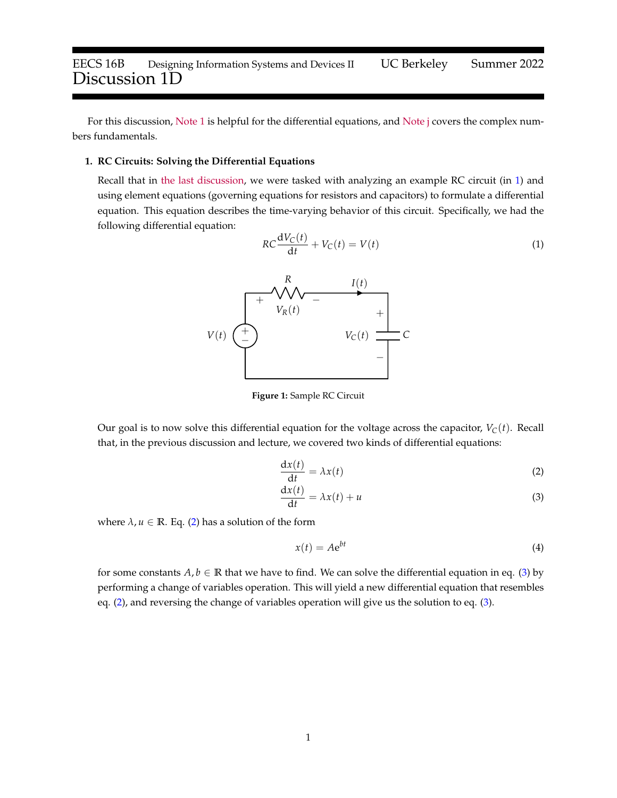For this discussion, [Note 1](https://www.eecs16b.org/notes/su22/note01.pdf) is helpful for the differential equations, and [Note j](https://www.eecs16b.org/notes/su22/notej.pdf) covers the complex numbers fundamentals.

## **1. RC Circuits: Solving the Differential Equations**

<span id="page-0-0"></span>Recall that in [the last discussion,](https://eecs16b.org/discussion/dis01A.pdf) we were tasked with analyzing an example RC circuit (in [1\)](#page-0-0) and using element equations (governing equations for resistors and capacitors) to formulate a differential equation. This equation describes the time-varying behavior of this circuit. Specifically, we had the following differential equation:

$$
RC\frac{\mathrm{d}V_C(t)}{\mathrm{d}t} + V_C(t) = V(t)
$$
\n(1)



**Figure 1:** Sample RC Circuit

Our goal is to now solve this differential equation for the voltage across the capacitor,  $V_C(t)$ . Recall that, in the previous discussion and lecture, we covered two kinds of differential equations:

$$
\frac{\mathrm{d}x(t)}{\mathrm{d}t} = \lambda x(t) \tag{2}
$$

$$
\frac{dx(t)}{dt} = \lambda x(t) + u \tag{3}
$$

where  $\lambda$ ,  $u \in \mathbb{R}$ . Eq. [\(2\)](#page-0-1) has a solution of the form

<span id="page-0-2"></span><span id="page-0-1"></span>
$$
x(t) = Ae^{bt}
$$
 (4)

for some constants  $A, b \in \mathbb{R}$  that we have to find. We can solve the differential equation in eq. [\(3\)](#page-0-2) by performing a change of variables operation. This will yield a new differential equation that resembles eq. [\(2\)](#page-0-1), and reversing the change of variables operation will give us the solution to eq. [\(3\)](#page-0-2).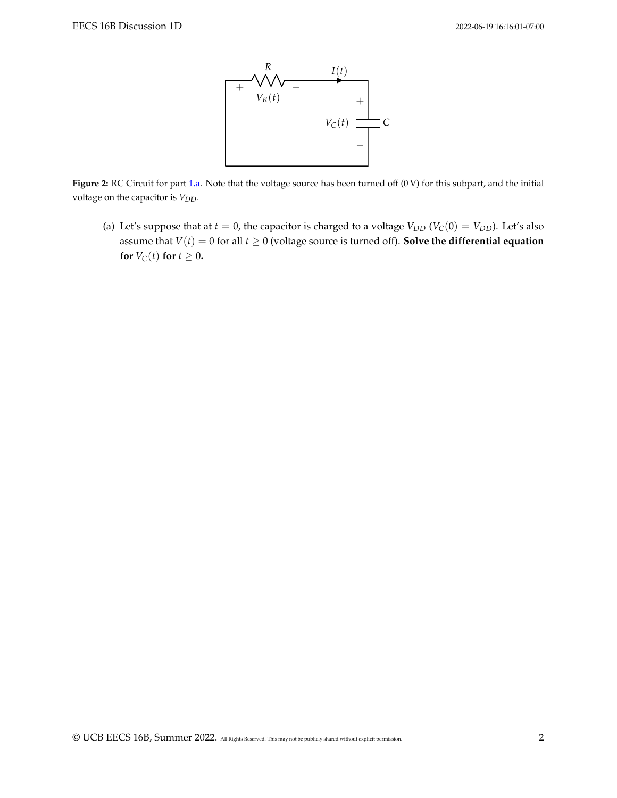

**Figure 2:** RC Circuit for part **[1.](#page-1-0)**a. Note that the voltage source has been turned off (0 V) for this subpart, and the initial voltage on the capacitor is *VDD*.

<span id="page-1-0"></span>(a) Let's suppose that at  $t = 0$ , the capacitor is charged to a voltage  $V_{DD}$  ( $V_C(0) = V_{DD}$ ). Let's also assume that  $V(t) = 0$  for all  $t \ge 0$  (voltage source is turned off). **Solve the differential equation for**  $V_C(t)$  **for**  $t \geq 0$ **.**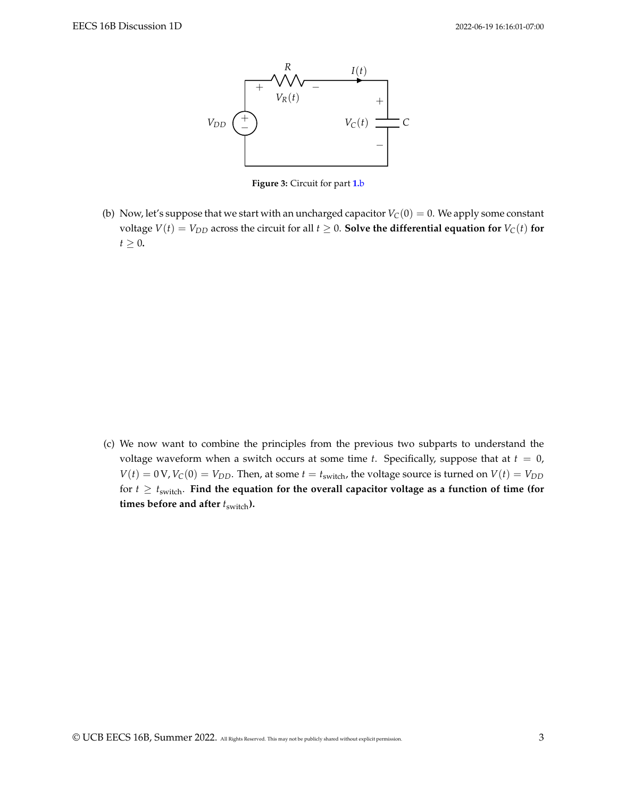

**Figure 3:** Circuit for part **[1.](#page-2-0)**b

<span id="page-2-0"></span>(b) Now, let's suppose that we start with an uncharged capacitor  $V_C(0) = 0$ . We apply some constant voltage  $V(t) = V_{DD}$  across the circuit for all  $t \geq 0$ . **Solve the differential equation for**  $V_C(t)$  for  $t \geq 0$ .

(c) We now want to combine the principles from the previous two subparts to understand the voltage waveform when a switch occurs at some time  $t$ . Specifically, suppose that at  $t = 0$ ,  $V(t) = 0$  V,  $V_C(0) = V_{DD}$ . Then, at some  $t = t_{switch}$ , the voltage source is turned on  $V(t) = V_{DD}$ for  $t \geq t_{switch}$ . Find the equation for the overall capacitor voltage as a function of time (for **times before and after**  $t_{switch}$ ).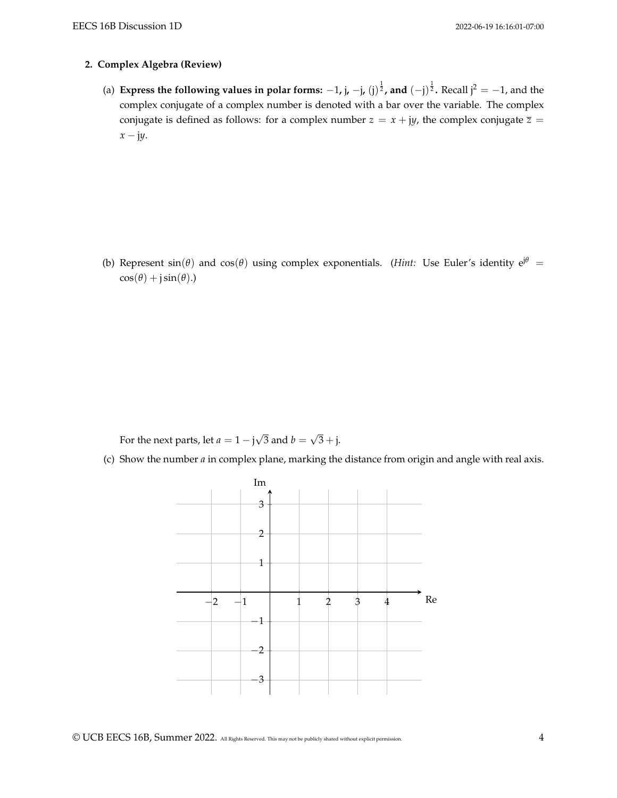## **2. Complex Algebra (Review)**

(a) **Express the following values in polar forms:**  $-1$ **, j,**  $-j$ **, (j)<sup>1</sup>, and**  $(-j)^{\frac{1}{2}}$ **. Recall j<sup>2</sup> =**  $-1$ **, and the** complex conjugate of a complex number is denoted with a bar over the variable. The complex conjugate is defined as follows: for a complex number  $z = x + jy$ , the complex conjugate  $\overline{z} =$ *x* − j*y*.

(b) Represent  $sin(\theta)$  and  $cos(\theta)$  using complex exponentials. (*Hint:* Use Euler's identity  $e^{j\theta}$  =  $cos(\theta) + j sin(\theta)$ .)

For the next parts, let  $a = 1 - j$ √ 3 and  $b =$ √  $3 + j$ .

(c) Show the number *a* in complex plane, marking the distance from origin and angle with real axis.